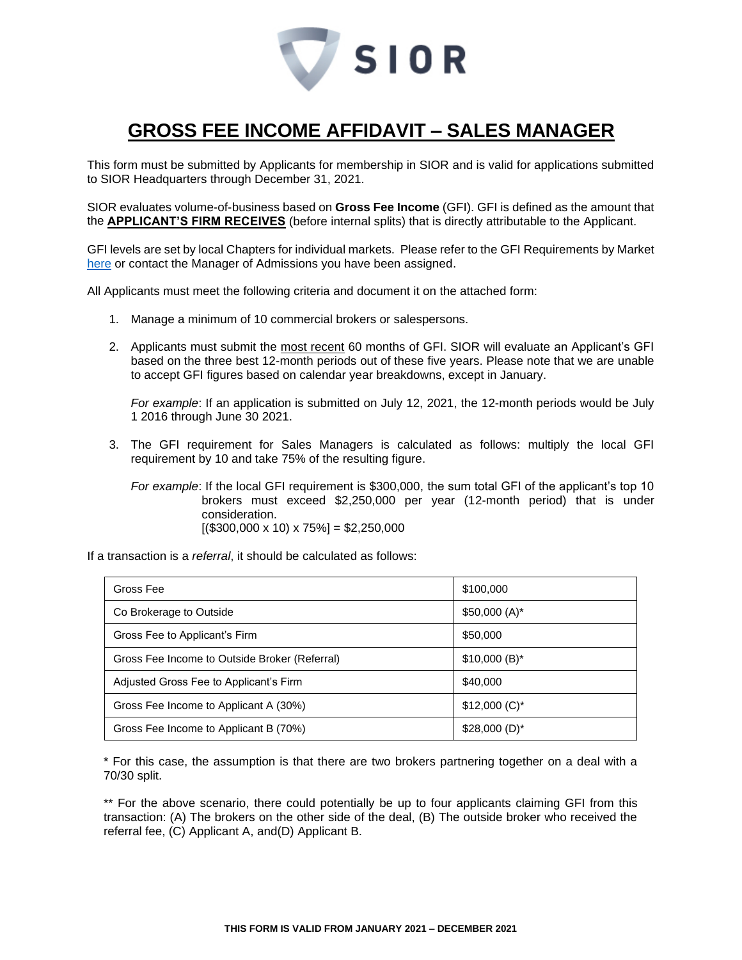

## **GROSS FEE INCOME AFFIDAVIT – SALES MANAGER**

This form must be submitted by Applicants for membership in SIOR and is valid for applications submitted to SIOR Headquarters through December 31, 2021.

SIOR evaluates volume-of-business based on **Gross Fee Income** (GFI). GFI is defined as the amount that the **APPLICANT'S FIRM RECEIVES** (before internal splits) that is directly attributable to the Applicant.

GFI levels are set by local Chapters for individual markets. Please refer to the GFI Requirements by Market [here](http://www.sior.com/docs/default-source/membership-docs/sior-gfi-requirements.pdf) or contact the Manager of Admissions you have been assigned.

All Applicants must meet the following criteria and document it on the attached form:

- 1. Manage a minimum of 10 commercial brokers or salespersons.
- 2. Applicants must submit the most recent 60 months of GFI. SIOR will evaluate an Applicant's GFI based on the three best 12-month periods out of these five years. Please note that we are unable to accept GFI figures based on calendar year breakdowns, except in January.

*For example*: If an application is submitted on July 12, 2021, the 12-month periods would be July 1 2016 through June 30 2021.

3. The GFI requirement for Sales Managers is calculated as follows: multiply the local GFI requirement by 10 and take 75% of the resulting figure.

*For example*: If the local GFI requirement is \$300,000, the sum total GFI of the applicant's top 10 brokers must exceed \$2,250,000 per year (12-month period) that is under consideration.

 $[($300,000 \times 10) \times 75\%] = $2,250,000$ 

If a transaction is a *referral*, it should be calculated as follows:

| Gross Fee                                     | \$100,000       |
|-----------------------------------------------|-----------------|
| Co Brokerage to Outside                       | $$50,000(A)^*$  |
| Gross Fee to Applicant's Firm                 | \$50,000        |
| Gross Fee Income to Outside Broker (Referral) | $$10,000 (B)^*$ |
| Adjusted Gross Fee to Applicant's Firm        | \$40,000        |
| Gross Fee Income to Applicant A (30%)         | $$12,000 (C)^*$ |
| Gross Fee Income to Applicant B (70%)         | $$28,000(D)^*$  |

\* For this case, the assumption is that there are two brokers partnering together on a deal with a 70/30 split.

\*\* For the above scenario, there could potentially be up to four applicants claiming GFI from this transaction: (A) The brokers on the other side of the deal, (B) The outside broker who received the referral fee, (C) Applicant A, and(D) Applicant B.